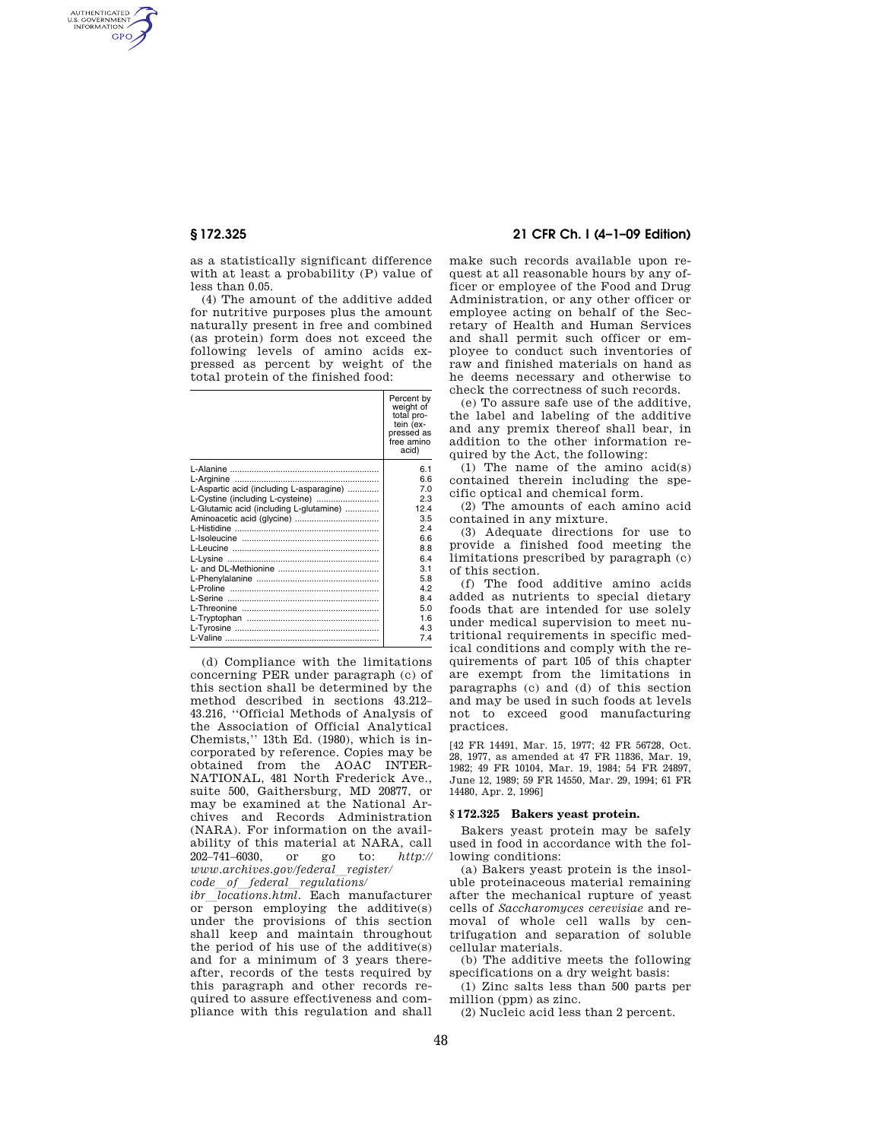AUTHENTICATED<br>U.S. GOVERNMENT<br>INFORMATION **GPO** 

> as a statistically significant difference with at least a probability (P) value of less than 0.05.

> (4) The amount of the additive added for nutritive purposes plus the amount naturally present in free and combined (as protein) form does not exceed the following levels of amino acids expressed as percent by weight of the total protein of the finished food:

|                                          | Percent by<br>weight of<br>total pro-<br>tein (ex-<br>pressed as<br>free amino<br>acid) |
|------------------------------------------|-----------------------------------------------------------------------------------------|
|                                          | 61                                                                                      |
|                                          | 6.6                                                                                     |
| L-Aspartic acid (including L-asparagine) | 70                                                                                      |
| L-Cystine (including L-cysteine)         | 2.3                                                                                     |
| L-Glutamic acid (including L-glutamine)  | 12.4                                                                                    |
|                                          | 3.5                                                                                     |
|                                          | 24                                                                                      |
|                                          | 6.6                                                                                     |
|                                          | 8.8                                                                                     |
|                                          | 64                                                                                      |
|                                          | 3.1                                                                                     |
|                                          | 5.8                                                                                     |
|                                          | 42                                                                                      |
|                                          | 8.4                                                                                     |
|                                          | 5.0                                                                                     |
|                                          | 16                                                                                      |
|                                          | 4.3                                                                                     |
|                                          | 74                                                                                      |

(d) Compliance with the limitations concerning PER under paragraph (c) of this section shall be determined by the method described in sections 43.212– 43.216, ''Official Methods of Analysis of the Association of Official Analytical Chemists,'' 13th Ed. (1980), which is incorporated by reference. Copies may be obtained from the AOAC INTER-NATIONAL, 481 North Frederick Ave., suite 500, Gaithersburg, MD 20877, or may be examined at the National Archives and Records Administration (NARA). For information on the availability of this material at NARA, call 202–741–6030, or go to: *http:// www.archives.gov/federal*l*register/ code*l*of*l*federal*l*regulations/* 

*ibr locations.html.* Each manufacturer or person employing the additive(s) under the provisions of this section shall keep and maintain throughout the period of his use of the additive(s) and for a minimum of 3 years thereafter, records of the tests required by this paragraph and other records required to assure effectiveness and compliance with this regulation and shall

# **§ 172.325 21 CFR Ch. I (4–1–09 Edition)**

make such records available upon request at all reasonable hours by any officer or employee of the Food and Drug Administration, or any other officer or employee acting on behalf of the Secretary of Health and Human Services and shall permit such officer or employee to conduct such inventories of raw and finished materials on hand as he deems necessary and otherwise to check the correctness of such records.

(e) To assure safe use of the additive, the label and labeling of the additive and any premix thereof shall bear, in addition to the other information required by the Act, the following:

(1) The name of the amino acid(s) contained therein including the specific optical and chemical form.

(2) The amounts of each amino acid contained in any mixture.

(3) Adequate directions for use to provide a finished food meeting the limitations prescribed by paragraph (c) of this section.

(f) The food additive amino acids added as nutrients to special dietary foods that are intended for use solely under medical supervision to meet nutritional requirements in specific medical conditions and comply with the requirements of part 105 of this chapter are exempt from the limitations in paragraphs (c) and (d) of this section and may be used in such foods at levels not to exceed good manufacturing practices.

[42 FR 14491, Mar. 15, 1977; 42 FR 56728, Oct. 28, 1977, as amended at 47 FR 11836, Mar. 19, 1982; 49 FR 10104, Mar. 19, 1984; 54 FR 24897, June 12, 1989; 59 FR 14550, Mar. 29, 1994; 61 FR 14480, Apr. 2, 1996]

# **§ 172.325 Bakers yeast protein.**

Bakers yeast protein may be safely used in food in accordance with the following conditions:

(a) Bakers yeast protein is the insoluble proteinaceous material remaining after the mechanical rupture of yeast cells of *Saccharomyces cerevisiae* and removal of whole cell walls by centrifugation and separation of soluble cellular materials.

(b) The additive meets the following specifications on a dry weight basis:

(1) Zinc salts less than 500 parts per million (ppm) as zinc.

(2) Nucleic acid less than 2 percent.